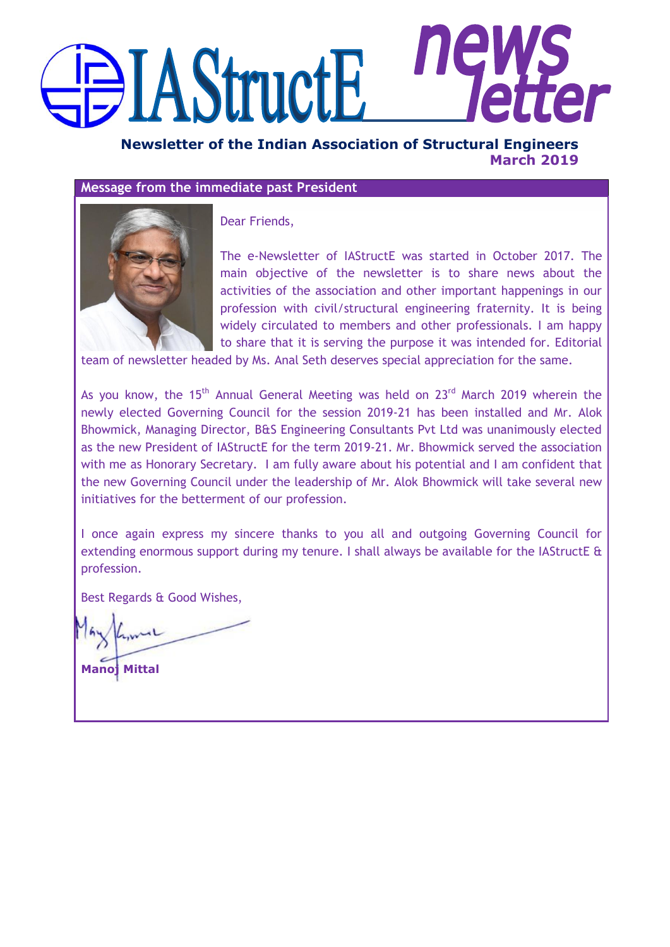# IIE **AStructE**

**Newsletter of the Indian Association of Structural Engineers March 2019**

## **Message from the immediate past President**



Dear Friends,

The e-Newsletter of IAStructE was started in October 2017. The main objective of the newsletter is to share news about the activities of the association and other important happenings in our profession with civil/structural engineering fraternity. It is being widely circulated to members and other professionals. I am happy to share that it is serving the purpose it was intended for. Editorial

team of newsletter headed by Ms. Anal Seth deserves special appreciation for the same.

As you know, the 15<sup>th</sup> Annual General Meeting was held on 23<sup>rd</sup> March 2019 wherein the newly elected Governing Council for the session 2019-21 has been installed and Mr. Alok Bhowmick, Managing Director, B&S Engineering Consultants Pvt Ltd was unanimously elected as the new President of IAStructE for the term 2019-21. Mr. Bhowmick served the association with me as Honorary Secretary. I am fully aware about his potential and I am confident that the new Governing Council under the leadership of Mr. Alok Bhowmick will take several new initiatives for the betterment of our profession.

I once again express my sincere thanks to you all and outgoing Governing Council for extending enormous support during my tenure. I shall always be available for the IAStructE & profession.

Best Regards & Good Wishes,

**Manoj Mittal**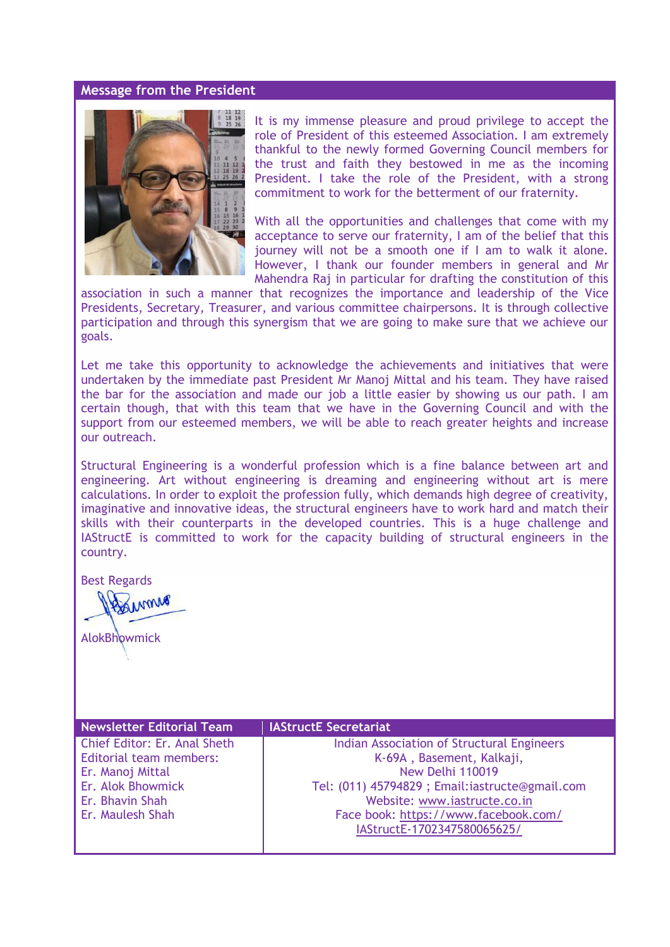#### **Message from the President**



It is my immense pleasure and proud privilege to accept the role of President of this esteemed Association. I am extremely thankful to the newly formed Governing Council members for the trust and faith they bestowed in me as the incoming President. I take the role of the President, with a strong commitment to work for the betterment of our fraternity.

With all the opportunities and challenges that come with my acceptance to serve our fraternity, I am of the belief that this journey will not be a smooth one if I am to walk it alone. However, I thank our founder members in general and Mr Mahendra Raj in particular for drafting the constitution of this

association in such a manner that recognizes the importance and leadership of the Vice Presidents, Secretary, Treasurer, and various committee chairpersons. It is through collective participation and through this synergism that we are going to make sure that we achieve our goals.

Let me take this opportunity to acknowledge the achievements and initiatives that were undertaken by the immediate past President Mr Manoj Mittal and his team. They have raised the bar for the association and made our job a little easier by showing us our path. I am certain though, that with this team that we have in the Governing Council and with the support from our esteemed members, we will be able to reach greater heights and increase our outreach.

Structural Engineering is a wonderful profession which is a fine balance between art and engineering. Art without engineering is dreaming and engineering without art is mere calculations. In order to exploit the profession fully, which demands high degree of creativity, imaginative and innovative ideas, the structural engineers have to work hard and match their skills with their counterparts in the developed countries. This is a huge challenge and IAStructE is committed to work for the capacity building of structural engineers in the country.

Best Regards

ANTTAS

**AlokBhowmick** 

**Newsletter Editorial Team IAStructE Secretariat** Chief Editor: Er. Anal Sheth Editorial team members: Er. Manoj Mittal Er. Alok Bhowmick Er. Bhavin Shah Er. Maulesh Shah

Indian Association of Structural Engineers K-69A , Basement, Kalkaji, New Delhi 110019 Tel: (011) 45794829 ; Email:iastructe@gmail.com Website: [www.iastructe.co.in](http://www.iastructe.co.in/) Face book: [https://www.facebook.com/](https://www.facebook.com/%20%0dIAStructE-1702347580065625/)  [IAStructE-1702347580065625/](https://www.facebook.com/%20%0dIAStructE-1702347580065625/)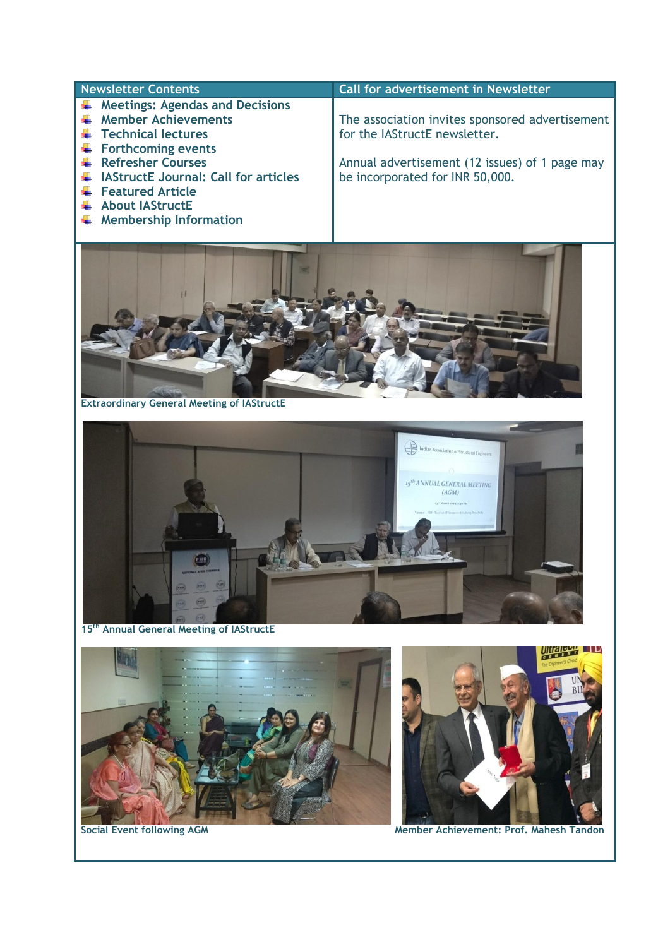- **Meetings: Agendas and Decisions**
- **Member Achievements**
- **Technical lectures**
- Forthcoming events
- **Refresher Courses**
- **IAStructE Journal: Call for articles**
- **Featured Article**
- **About IAStructE**
- $\frac{1}{\sqrt{1}}$  Membership Information

#### **Newsletter Contents Call for advertisement in Newsletter**

The association invites sponsored advertisement for the IAStructE newsletter.

Annual advertisement (12 issues) of 1 page may be incorporated for INR 50,000.



**Extraordinary General Meeting of IAStructE**



**15th Annual General Meeting of IAStructE**





**Social Event following AGM Member Achievement: Prof. Mahesh Tandon**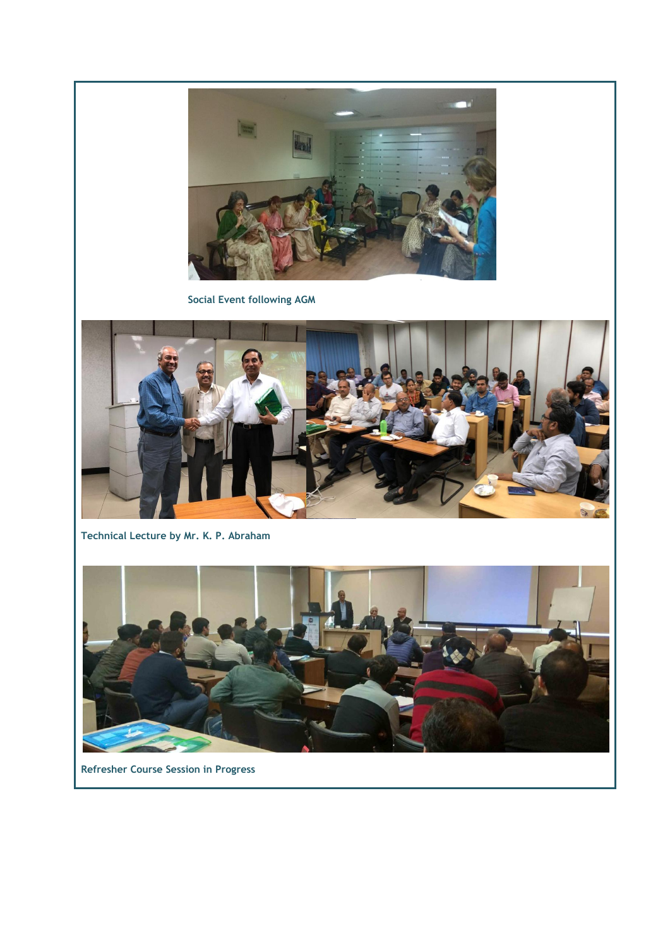

 **Social Event following AGM** 



**Technical Lecture by Mr. K. P. Abraham**



**Refresher Course Session in Progress**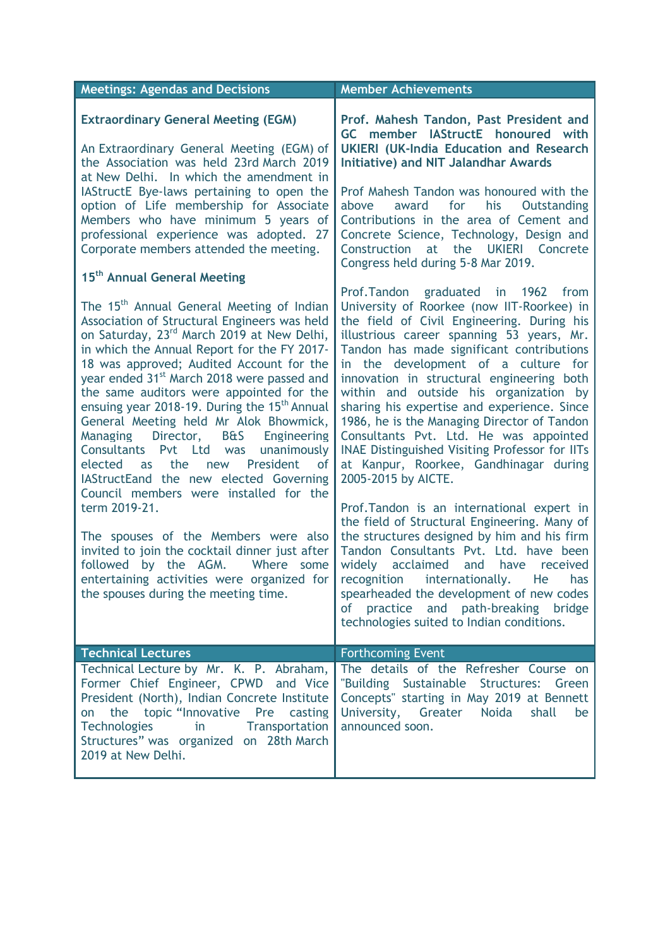| <b>Meetings: Agendas and Decisions</b>                                                                                                                                                                                                                                                                                                                                                                                                                                                                                                                                                                                                                                                       | <b>Member Achievements</b>                                                                                                                                                                                                                                                                                                                                                                                                                                                                                                                                                         |
|----------------------------------------------------------------------------------------------------------------------------------------------------------------------------------------------------------------------------------------------------------------------------------------------------------------------------------------------------------------------------------------------------------------------------------------------------------------------------------------------------------------------------------------------------------------------------------------------------------------------------------------------------------------------------------------------|------------------------------------------------------------------------------------------------------------------------------------------------------------------------------------------------------------------------------------------------------------------------------------------------------------------------------------------------------------------------------------------------------------------------------------------------------------------------------------------------------------------------------------------------------------------------------------|
| <b>Extraordinary General Meeting (EGM)</b><br>An Extraordinary General Meeting (EGM) of<br>the Association was held 23rd March 2019<br>at New Delhi. In which the amendment in<br>IAStructE Bye-laws pertaining to open the                                                                                                                                                                                                                                                                                                                                                                                                                                                                  | Prof. Mahesh Tandon, Past President and<br>GC member IAStructE honoured with<br><b>UKIERI (UK-India Education and Research</b><br><b>Initiative) and NIT Jalandhar Awards</b><br>Prof Mahesh Tandon was honoured with the                                                                                                                                                                                                                                                                                                                                                          |
| option of Life membership for Associate<br>Members who have minimum 5 years of<br>professional experience was adopted. 27<br>Corporate members attended the meeting.                                                                                                                                                                                                                                                                                                                                                                                                                                                                                                                         | for<br>award<br>his<br>Outstanding<br>above<br>Contributions in the area of Cement and<br>Concrete Science, Technology, Design and<br>Construction<br>at the UKIERI Concrete<br>Congress held during 5-8 Mar 2019.                                                                                                                                                                                                                                                                                                                                                                 |
| 15 <sup>th</sup> Annual General Meeting                                                                                                                                                                                                                                                                                                                                                                                                                                                                                                                                                                                                                                                      | Prof.Tandon graduated in 1962<br>from                                                                                                                                                                                                                                                                                                                                                                                                                                                                                                                                              |
| The 15 <sup>th</sup> Annual General Meeting of Indian<br>Association of Structural Engineers was held<br>on Saturday, 23 <sup>rd</sup> March 2019 at New Delhi,<br>in which the Annual Report for the FY 2017-<br>18 was approved; Audited Account for the<br>year ended 31 <sup>st</sup> March 2018 were passed and<br>the same auditors were appointed for the<br>ensuing year 2018-19. During the 15 <sup>th</sup> Annual<br>General Meeting held Mr Alok Bhowmick,<br>Director, B&S Engineering<br>Managing<br>Consultants Pvt Ltd was<br>unanimously<br>the<br>new President<br>οf<br>elected<br>as<br>IAStructEand the new elected Governing<br>Council members were installed for the | University of Roorkee (now IIT-Roorkee) in<br>the field of Civil Engineering. During his<br>illustrious career spanning 53 years, Mr.<br>Tandon has made significant contributions<br>in the development of a culture for<br>innovation in structural engineering both<br>within and outside his organization by<br>sharing his expertise and experience. Since<br>1986, he is the Managing Director of Tandon<br>Consultants Pvt. Ltd. He was appointed<br><b>INAE Distinguished Visiting Professor for IITs</b><br>at Kanpur, Roorkee, Gandhinagar during<br>2005-2015 by AICTE. |
| term 2019-21.                                                                                                                                                                                                                                                                                                                                                                                                                                                                                                                                                                                                                                                                                | Prof. Tandon is an international expert in<br>the field of Structural Engineering. Many of                                                                                                                                                                                                                                                                                                                                                                                                                                                                                         |
| The spouses of the Members were also<br>invited to join the cocktail dinner just after<br>followed by the AGM. Where<br>some<br>entertaining activities were organized for<br>the spouses during the meeting time.                                                                                                                                                                                                                                                                                                                                                                                                                                                                           | the structures designed by him and his firm<br>Tandon Consultants Pvt. Ltd. have been<br>acclaimed and have<br>widely<br>received<br>recognition<br>internationally.<br>He<br>has<br>spearheaded the development of new codes<br>of practice and path-breaking bridge<br>technologies suited to Indian conditions.                                                                                                                                                                                                                                                                 |
| <b>Technical Lectures</b>                                                                                                                                                                                                                                                                                                                                                                                                                                                                                                                                                                                                                                                                    | <b>Forthcoming Event</b>                                                                                                                                                                                                                                                                                                                                                                                                                                                                                                                                                           |
| Technical Lecture by Mr. K. P. Abraham,<br>Former Chief Engineer, CPWD and Vice<br>President (North), Indian Concrete Institute<br>on the topic "Innovative Pre casting<br><b>Technologies</b><br><b>Transportation</b><br>in<br>Structures" was organized on 28th March<br>2019 at New Delhi.                                                                                                                                                                                                                                                                                                                                                                                               | The details of the Refresher Course on<br>"Building Sustainable Structures: Green<br>Concepts" starting in May 2019 at Bennett<br>University, Greater Noida<br>shall<br>be<br>announced soon.                                                                                                                                                                                                                                                                                                                                                                                      |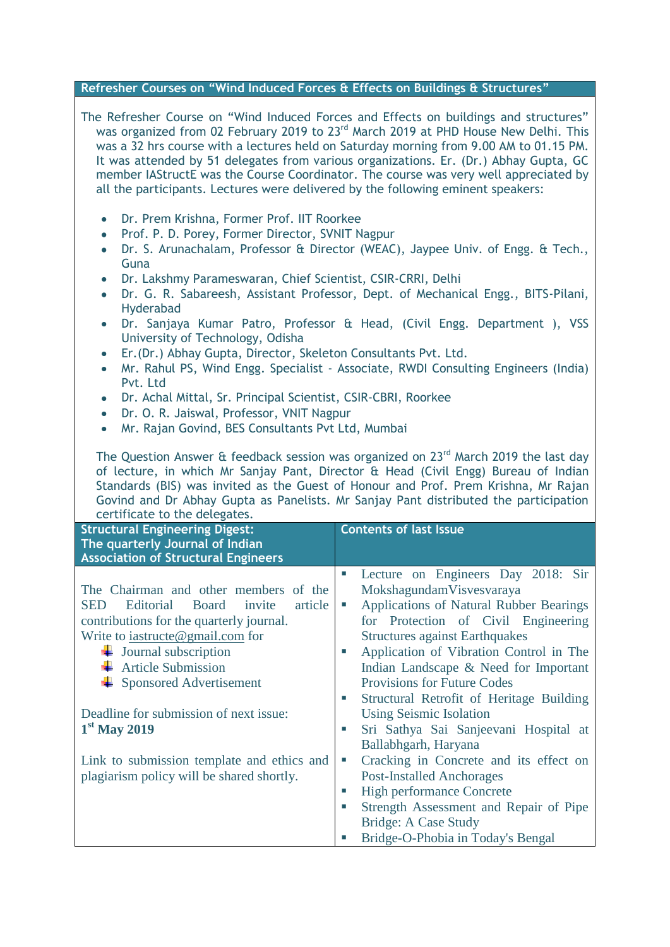**Bridge-O-Phobia in Today's Bengal**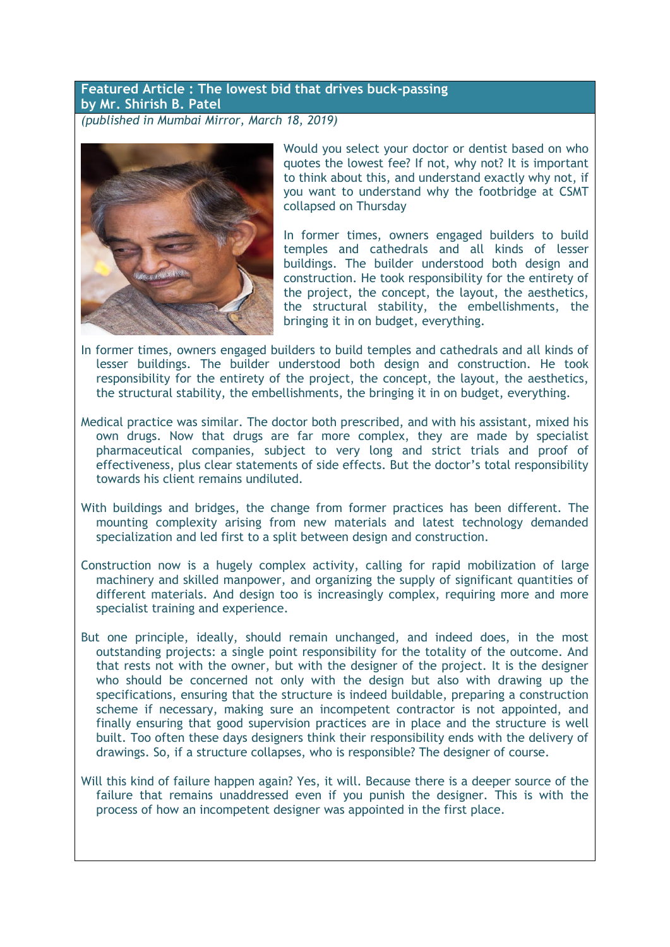## **Featured Article : The lowest bid that drives buck-passing by Mr. Shirish B. Patel**

*(published in Mumbai Mirror, March 18, 2019)*



Would you select your doctor or dentist based on who quotes the lowest fee? If not, why not? It is important to think about this, and understand exactly why not, if you want to understand why the footbridge at CSMT collapsed on Thursday

In former times, owners engaged builders to build temples and cathedrals and all kinds of lesser buildings. The builder understood both design and construction. He took responsibility for the entirety of the project, the concept, the layout, the aesthetics, the structural stability, the embellishments, the bringing it in on budget, everything.

- In former times, owners engaged builders to build temples and cathedrals and all kinds of lesser buildings. The builder understood both design and construction. He took responsibility for the entirety of the project, the concept, the layout, the aesthetics, the structural stability, the embellishments, the bringing it in on budget, everything.
- Medical practice was similar. The doctor both prescribed, and with his assistant, mixed his own drugs. Now that drugs are far more complex, they are made by specialist pharmaceutical companies, subject to very long and strict trials and proof of effectiveness, plus clear statements of side effects. But the doctor"s total responsibility towards his client remains undiluted.
- With buildings and bridges, the change from former practices has been different. The mounting complexity arising from new materials and latest technology demanded specialization and led first to a split between design and construction.
- Construction now is a hugely complex activity, calling for rapid mobilization of large machinery and skilled manpower, and organizing the supply of significant quantities of different materials. And design too is increasingly complex, requiring more and more specialist training and experience.
- But one principle, ideally, should remain unchanged, and indeed does, in the most outstanding projects: a single point responsibility for the totality of the outcome. And that rests not with the owner, but with the designer of the project. It is the designer who should be concerned not only with the design but also with drawing up the specifications, ensuring that the structure is indeed buildable, preparing a construction scheme if necessary, making sure an incompetent contractor is not appointed, and finally ensuring that good supervision practices are in place and the structure is well built. Too often these days designers think their responsibility ends with the delivery of drawings. So, if a structure collapses, who is responsible? The designer of course.
- Will this kind of failure happen again? Yes, it will. Because there is a deeper source of the failure that remains unaddressed even if you punish the designer. This is with the process of how an incompetent designer was appointed in the first place.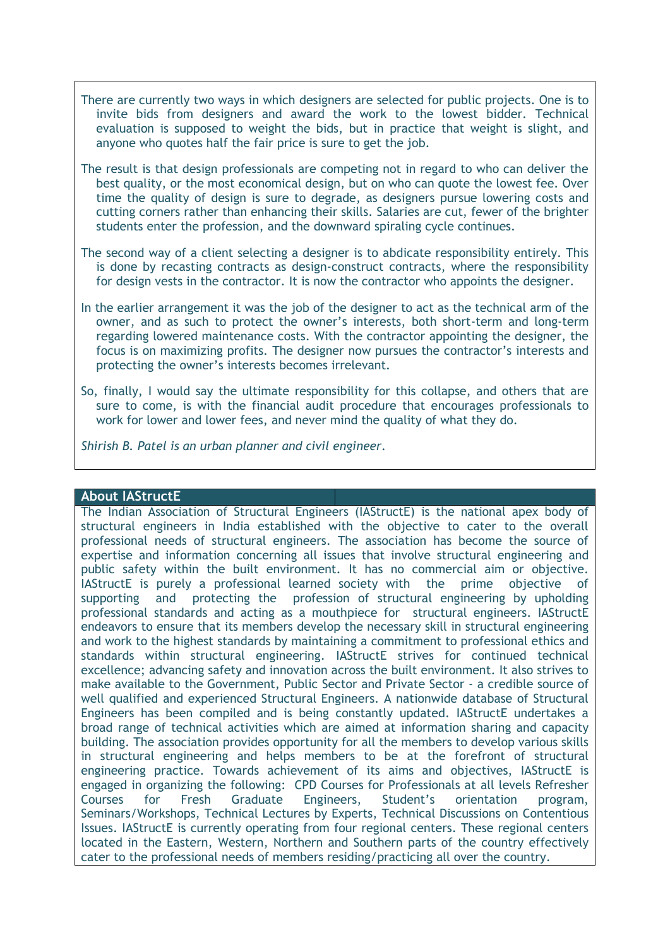- There are currently two ways in which designers are selected for public projects. One is to invite bids from designers and award the work to the lowest bidder. Technical evaluation is supposed to weight the bids, but in practice that weight is slight, and anyone who quotes half the fair price is sure to get the job.
- The result is that design professionals are competing not in regard to who can deliver the best quality, or the most economical design, but on who can quote the lowest fee. Over time the quality of design is sure to degrade, as designers pursue lowering costs and cutting corners rather than enhancing their skills. Salaries are cut, fewer of the brighter students enter the profession, and the downward spiraling cycle continues.
- The second way of a client selecting a designer is to abdicate responsibility entirely. This is done by recasting contracts as design-construct contracts, where the responsibility for design vests in the contractor. It is now the contractor who appoints the designer.
- In the earlier arrangement it was the job of the designer to act as the technical arm of the owner, and as such to protect the owner"s interests, both short-term and long-term regarding lowered maintenance costs. With the contractor appointing the designer, the focus is on maximizing profits. The designer now pursues the contractor's interests and protecting the owner"s interests becomes irrelevant.
- So, finally, I would say the ultimate responsibility for this collapse, and others that are sure to come, is with the financial audit procedure that encourages professionals to work for lower and lower fees, and never mind the quality of what they do.

*Shirish B. Patel is an urban planner and civil engineer.*

#### **About IAStructE**

The Indian Association of Structural Engineers (IAStructE) is the national apex body of structural engineers in India established with the objective to cater to the overall professional needs of structural engineers. The association has become the source of expertise and information concerning all issues that involve structural engineering and public safety within the built environment. It has no commercial aim or objective. IAStructE is purely a professional learned society with the prime objective of supporting and protecting the profession of structural engineering by upholding professional standards and acting as a mouthpiece for structural engineers. IAStructE endeavors to ensure that its members develop the necessary skill in structural engineering and work to the highest standards by maintaining a commitment to professional ethics and standards within structural engineering. IAStructE strives for continued technical excellence; advancing safety and innovation across the built environment. It also strives to make available to the Government, Public Sector and Private Sector - a credible source of well qualified and experienced Structural Engineers. A nationwide database of Structural Engineers has been compiled and is being constantly updated. IAStructE undertakes a broad range of technical activities which are aimed at information sharing and capacity building. The association provides opportunity for all the members to develop various skills in structural engineering and helps members to be at the forefront of structural engineering practice. Towards achievement of its aims and objectives, IAStructE is engaged in organizing the following: CPD Courses for Professionals at all levels Refresher Courses for Fresh Graduate Engineers, Student"s orientation program, Seminars/Workshops, Technical Lectures by Experts, Technical Discussions on Contentious Issues. IAStructE is currently operating from four regional centers. These regional centers located in the Eastern, Western, Northern and Southern parts of the country effectively cater to the professional needs of members residing/practicing all over the country.